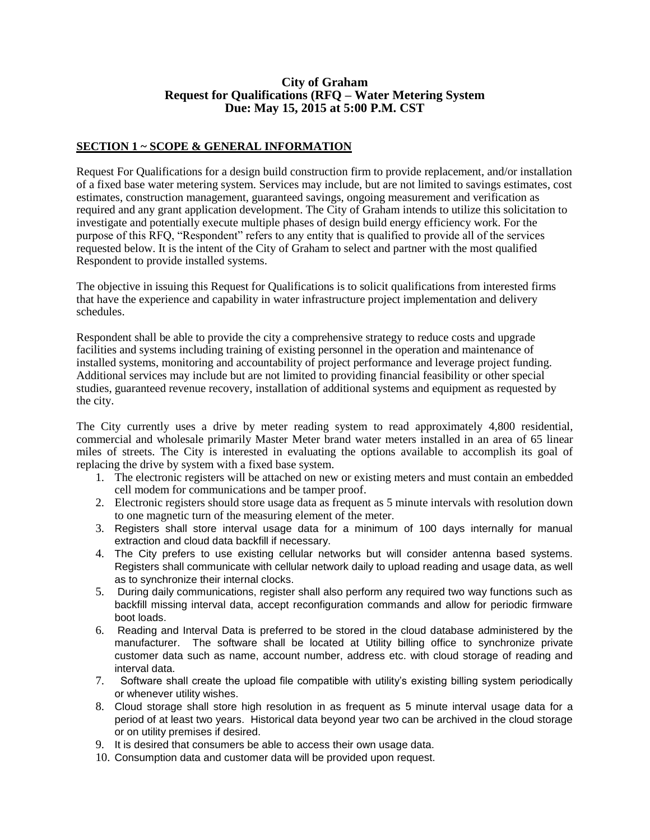## **City of Graham Request for Qualifications (RFQ – Water Metering System Due: May 15, 2015 at 5:00 P.M. CST**

# **SECTION 1 ~ SCOPE & GENERAL INFORMATION**

Request For Qualifications for a design build construction firm to provide replacement, and/or installation of a fixed base water metering system. Services may include, but are not limited to savings estimates, cost estimates, construction management, guaranteed savings, ongoing measurement and verification as required and any grant application development. The City of Graham intends to utilize this solicitation to investigate and potentially execute multiple phases of design build energy efficiency work. For the purpose of this RFQ, "Respondent" refers to any entity that is qualified to provide all of the services requested below. It is the intent of the City of Graham to select and partner with the most qualified Respondent to provide installed systems.

The objective in issuing this Request for Qualifications is to solicit qualifications from interested firms that have the experience and capability in water infrastructure project implementation and delivery schedules.

Respondent shall be able to provide the city a comprehensive strategy to reduce costs and upgrade facilities and systems including training of existing personnel in the operation and maintenance of installed systems, monitoring and accountability of project performance and leverage project funding. Additional services may include but are not limited to providing financial feasibility or other special studies, guaranteed revenue recovery, installation of additional systems and equipment as requested by the city.

The City currently uses a drive by meter reading system to read approximately 4,800 residential, commercial and wholesale primarily Master Meter brand water meters installed in an area of 65 linear miles of streets. The City is interested in evaluating the options available to accomplish its goal of replacing the drive by system with a fixed base system.

- 1. The electronic registers will be attached on new or existing meters and must contain an embedded cell modem for communications and be tamper proof.
- 2. Electronic registers should store usage data as frequent as 5 minute intervals with resolution down to one magnetic turn of the measuring element of the meter.
- 3. Registers shall store interval usage data for a minimum of 100 days internally for manual extraction and cloud data backfill if necessary.
- 4. The City prefers to use existing cellular networks but will consider antenna based systems. Registers shall communicate with cellular network daily to upload reading and usage data, as well as to synchronize their internal clocks.
- 5. During daily communications, register shall also perform any required two way functions such as backfill missing interval data, accept reconfiguration commands and allow for periodic firmware boot loads.
- 6. Reading and Interval Data is preferred to be stored in the cloud database administered by the manufacturer. The software shall be located at Utility billing office to synchronize private customer data such as name, account number, address etc. with cloud storage of reading and interval data.
- 7. Software shall create the upload file compatible with utility's existing billing system periodically or whenever utility wishes.
- 8. Cloud storage shall store high resolution in as frequent as 5 minute interval usage data for a period of at least two years. Historical data beyond year two can be archived in the cloud storage or on utility premises if desired.
- 9. It is desired that consumers be able to access their own usage data.
- 10. Consumption data and customer data will be provided upon request.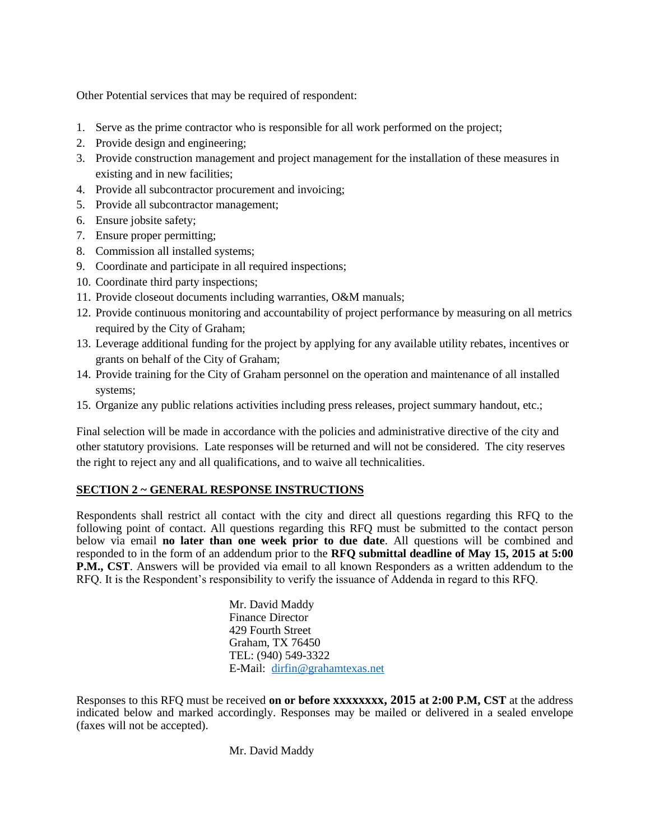Other Potential services that may be required of respondent:

- 1. Serve as the prime contractor who is responsible for all work performed on the project;
- 2. Provide design and engineering;
- 3. Provide construction management and project management for the installation of these measures in existing and in new facilities;
- 4. Provide all subcontractor procurement and invoicing;
- 5. Provide all subcontractor management;
- 6. Ensure jobsite safety;
- 7. Ensure proper permitting;
- 8. Commission all installed systems;
- 9. Coordinate and participate in all required inspections;
- 10. Coordinate third party inspections;
- 11. Provide closeout documents including warranties, O&M manuals;
- 12. Provide continuous monitoring and accountability of project performance by measuring on all metrics required by the City of Graham;
- 13. Leverage additional funding for the project by applying for any available utility rebates, incentives or grants on behalf of the City of Graham;
- 14. Provide training for the City of Graham personnel on the operation and maintenance of all installed systems;
- 15. Organize any public relations activities including press releases, project summary handout, etc.;

Final selection will be made in accordance with the policies and administrative directive of the city and other statutory provisions. Late responses will be returned and will not be considered. The city reserves the right to reject any and all qualifications, and to waive all technicalities.

# **SECTION 2 ~ GENERAL RESPONSE INSTRUCTIONS**

Respondents shall restrict all contact with the city and direct all questions regarding this RFQ to the following point of contact. All questions regarding this RFQ must be submitted to the contact person below via email **no later than one week prior to due date**. All questions will be combined and responded to in the form of an addendum prior to the **RFQ submittal deadline of May 15, 2015 at 5:00 P.M., CST**. Answers will be provided via email to all known Responders as a written addendum to the RFQ. It is the Respondent's responsibility to verify the issuance of Addenda in regard to this RFQ.

> Mr. David Maddy Finance Director 429 Fourth Street Graham, TX 76450 TEL: (940) 549-3322 E-Mail: [dirfin@grahamtexas.net](mailto:dirfin@grahamtexas.net)

Responses to this RFQ must be received **on or before xxxxxxxx, 2015 at 2:00 P.M, CST** at the address indicated below and marked accordingly. Responses may be mailed or delivered in a sealed envelope (faxes will not be accepted).

Mr. David Maddy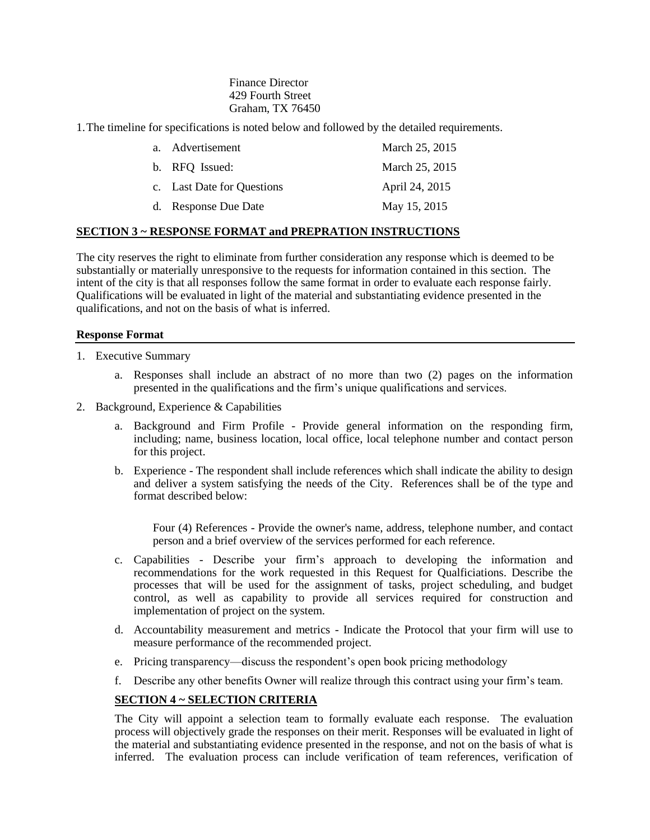Finance Director 429 Fourth Street Graham, TX 76450

1.The timeline for specifications is noted below and followed by the detailed requirements.

| a. Advertisement           | March 25, 2015 |
|----------------------------|----------------|
| b. RFQ Issued:             | March 25, 2015 |
| c. Last Date for Questions | April 24, 2015 |
| d. Response Due Date       | May 15, 2015   |

#### **SECTION 3 ~ RESPONSE FORMAT and PREPRATION INSTRUCTIONS**

The city reserves the right to eliminate from further consideration any response which is deemed to be substantially or materially unresponsive to the requests for information contained in this section. The intent of the city is that all responses follow the same format in order to evaluate each response fairly. Qualifications will be evaluated in light of the material and substantiating evidence presented in the qualifications, and not on the basis of what is inferred.

#### **Response Format**

- 1. Executive Summary
	- a. Responses shall include an abstract of no more than two (2) pages on the information presented in the qualifications and the firm's unique qualifications and services.
- 2. Background, Experience & Capabilities
	- a. Background and Firm Profile Provide general information on the responding firm, including; name, business location, local office, local telephone number and contact person for this project.
	- b. Experience The respondent shall include references which shall indicate the ability to design and deliver a system satisfying the needs of the City. References shall be of the type and format described below:

Four (4) References - Provide the owner's name, address, telephone number, and contact person and a brief overview of the services performed for each reference.

- c. Capabilities Describe your firm's approach to developing the information and recommendations for the work requested in this Request for Qualficiations. Describe the processes that will be used for the assignment of tasks, project scheduling, and budget control, as well as capability to provide all services required for construction and implementation of project on the system.
- d. Accountability measurement and metrics Indicate the Protocol that your firm will use to measure performance of the recommended project.
- e. Pricing transparency—discuss the respondent's open book pricing methodology
- f. Describe any other benefits Owner will realize through this contract using your firm's team.

## **SECTION 4 ~ SELECTION CRITERIA**

The City will appoint a selection team to formally evaluate each response. The evaluation process will objectively grade the responses on their merit. Responses will be evaluated in light of the material and substantiating evidence presented in the response, and not on the basis of what is inferred. The evaluation process can include verification of team references, verification of